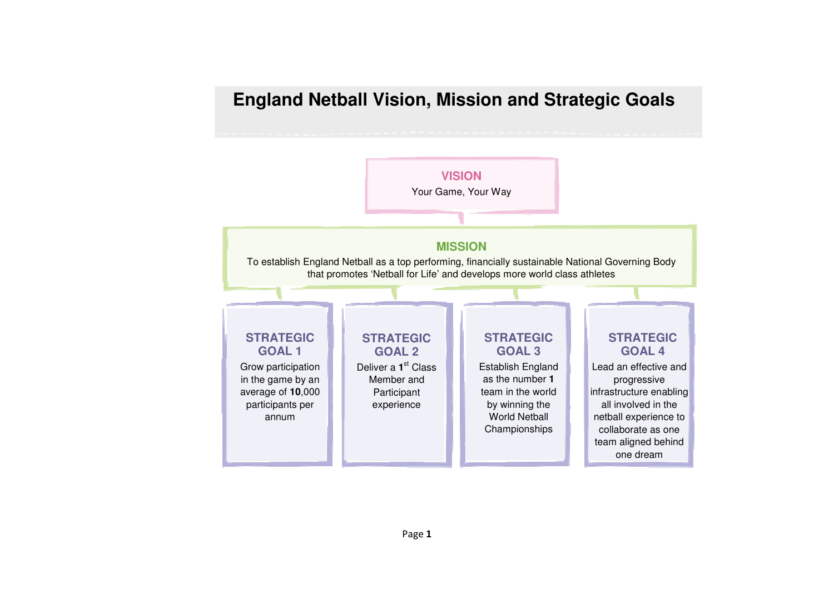# **England Netball Vision, Mission and Strategic Goals**

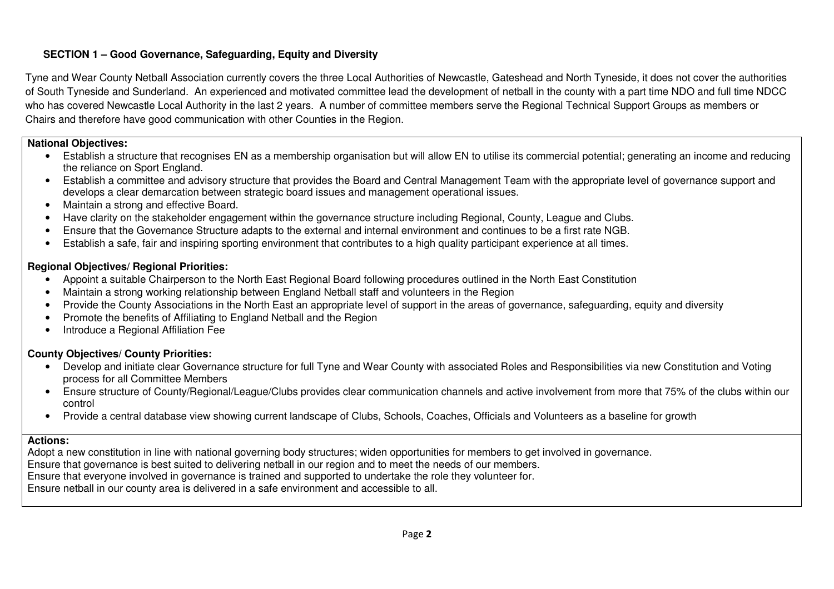# **SECTION 1 – Good Governance, Safeguarding, Equity and Diversity**

Tyne and Wear County Netball Association currently covers the three Local Authorities of Newcastle, Gateshead and North Tyneside, it does not cover the authorities of South Tyneside and Sunderland. An experienced and motivated committee lead the development of netball in the county with a part time NDO and full time NDCC who has covered Newcastle Local Authority in the last 2 years. A number of committee members serve the Regional Technical Support Groups as members or Chairs and therefore have good communication with other Counties in the Region.

## **National Objectives:**

- Establish a structure that recognises EN as a membership organisation but will allow EN to utilise its commercial potential; generating an income and reducing the reliance on Sport England.
- Establish a committee and advisory structure that provides the Board and Central Management Team with the appropriate level of governance support and develops a clear demarcation between strategic board issues and management operational issues.
- Maintain a strong and effective Board.
- Have clarity on the stakeholder engagement within the governance structure including Regional, County, League and Clubs.
- Ensure that the Governance Structure adapts to the external and internal environment and continues to be a first rate NGB.
- Establish a safe, fair and inspiring sporting environment that contributes to a high quality participant experience at all times.

# **Regional Objectives/ Regional Priorities:**

- Appoint a suitable Chairperson to the North East Regional Board following procedures outlined in the North East Constitution
- Maintain a strong working relationship between England Netball staff and volunteers in the Region
- Provide the County Associations in the North East an appropriate level of support in the areas of governance, safeguarding, equity and diversity
- Promote the benefits of Affiliating to England Netball and the Region
- Introduce a Regional Affiliation Fee

# **County Objectives/ County Priorities:**

- Develop and initiate clear Governance structure for full Tyne and Wear County with associated Roles and Responsibilities via new Constitution and Votingprocess for all Committee Members
- Ensure structure of County/Regional/League/Clubs provides clear communication channels and active involvement from more that 75% of the clubs within ourcontrol
- Provide a central database view showing current landscape of Clubs, Schools, Coaches, Officials and Volunteers as a baseline for growth

## **Actions:**

 Adopt a new constitution in line with national governing body structures; widen opportunities for members to get involved in governance. Ensure that governance is best suited to delivering netball in our region and to meet the needs of our members. Ensure that everyone involved in governance is trained and supported to undertake the role they volunteer for. Ensure netball in our county area is delivered in a safe environment and accessible to all.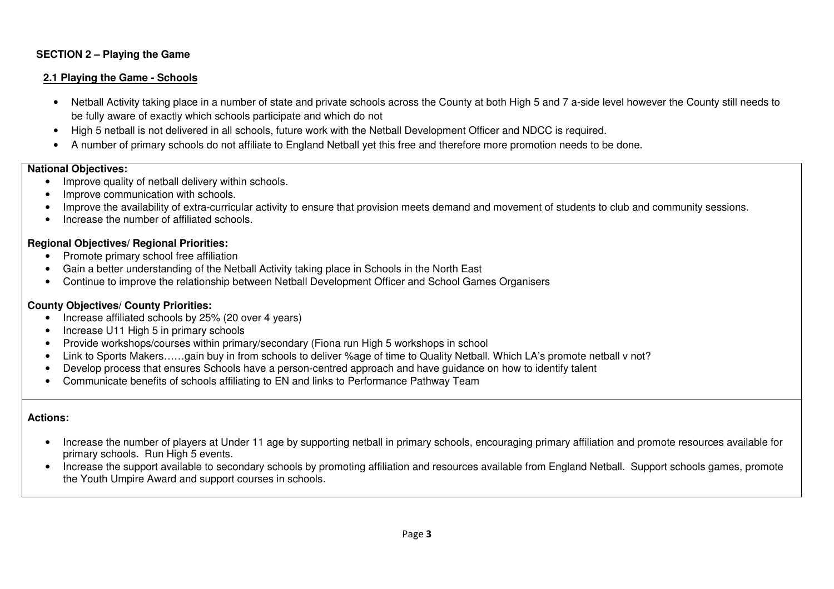# **SECTION 2 – Playing the Game**

#### **2.1 Playing the Game - Schools**

- Netball Activity taking place in a number of state and private schools across the County at both High 5 and 7 a-side level however the County still needs to be fully aware of exactly which schools participate and which do not
- High 5 netball is not delivered in all schools, future work with the Netball Development Officer and NDCC is required.
- A number of primary schools do not affiliate to England Netball yet this free and therefore more promotion needs to be done.

## **National Objectives:**

- Improve quality of netball delivery within schools.
- Improve communication with schools.
- Improve the availability of extra-curricular activity to ensure that provision meets demand and movement of students to club and community sessions.
- Increase the number of affiliated schools.

#### **Regional Objectives/ Regional Priorities:**

- Promote primary school free affiliation
- Gain a better understanding of the Netball Activity taking place in Schools in the North East
- Continue to improve the relationship between Netball Development Officer and School Games Organisers

## **County Objectives/ County Priorities:**

- Increase affiliated schools by 25% (20 over 4 years)
- Increase U11 High 5 in primary schools
- Provide workshops/courses within primary/secondary (Fiona run High 5 workshops in school
- Link to Sports Makers……gain buy in from schools to deliver %age of time to Quality Netball. Which LA's promote netball v not?
- Develop process that ensures Schools have a person-centred approach and have guidance on how to identify talent
- Communicate benefits of schools affiliating to EN and links to Performance Pathway Team

- Increase the number of players at Under 11 age by supporting netball in primary schools, encouraging primary affiliation and promote resources available for primary schools. Run High 5 events.
- Increase the support available to secondary schools by promoting affiliation and resources available from England Netball. Support schools games, promote the Youth Umpire Award and support courses in schools.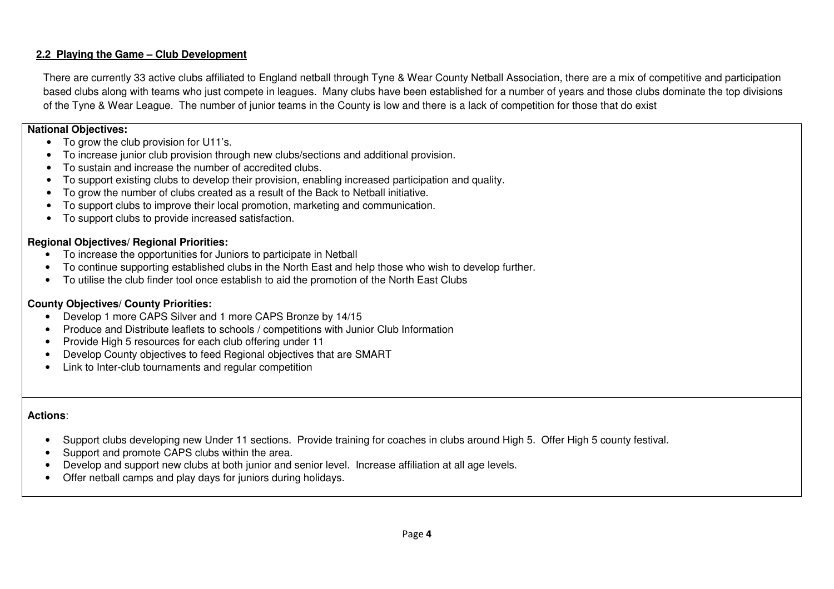# **2.2 Playing the Game – Club Development**

There are currently 33 active clubs affiliated to England netball through Tyne & Wear County Netball Association, there are a mix of competitive and participation based clubs along with teams who just compete in leagues. Many clubs have been established for a number of years and those clubs dominate the top divisions of the Tyne & Wear League. The number of junior teams in the County is low and there is a lack of competition for those that do exist

#### **National Objectives:**

- To grow the club provision for U11's.
- To increase junior club provision through new clubs/sections and additional provision.
- To sustain and increase the number of accredited clubs.
- To support existing clubs to develop their provision, enabling increased participation and quality.
- To grow the number of clubs created as a result of the Back to Netball initiative.
- To support clubs to improve their local promotion, marketing and communication.
- To support clubs to provide increased satisfaction.

# **Regional Objectives/ Regional Priorities:**

- To increase the opportunities for Juniors to participate in Netball
- To continue supporting established clubs in the North East and help those who wish to develop further.
- To utilise the club finder tool once establish to aid the promotion of the North East Clubs

# **County Objectives/ County Priorities:**

- Develop 1 more CAPS Silver and 1 more CAPS Bronze by 14/15
- Produce and Distribute leaflets to schools / competitions with Junior Club Information
- Provide High 5 resources for each club offering under 11
- Develop County objectives to feed Regional objectives that are SMART
- Link to Inter-club tournaments and regular competition

- Support clubs developing new Under 11 sections. Provide training for coaches in clubs around High 5. Offer High 5 county festival.
- Support and promote CAPS clubs within the area.
- Develop and support new clubs at both junior and senior level. Increase affiliation at all age levels.
- Offer netball camps and play days for juniors during holidays.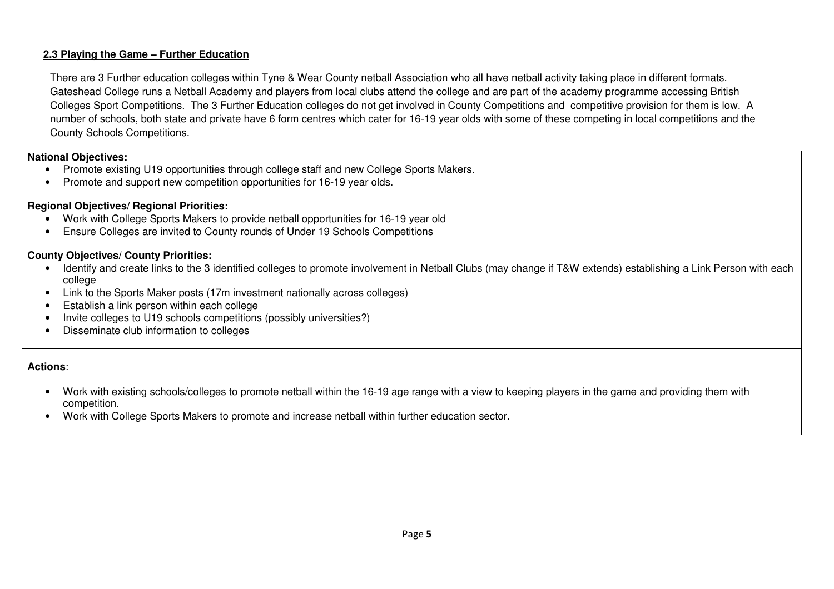# **2.3 Playing the Game – Further Education**

There are 3 Further education colleges within Tyne & Wear County netball Association who all have netball activity taking place in different formats. Gateshead College runs a Netball Academy and players from local clubs attend the college and are part of the academy programme accessing British Colleges Sport Competitions. The 3 Further Education colleges do not get involved in County Competitions and competitive provision for them is low. A number of schools, both state and private have 6 form centres which cater for 16-19 year olds with some of these competing in local competitions and the County Schools Competitions.

#### **National Objectives:**

- Promote existing U19 opportunities through college staff and new College Sports Makers.
- Promote and support new competition opportunities for 16-19 year olds.

# **Regional Objectives/ Regional Priorities:**

- Work with College Sports Makers to provide netball opportunities for 16-19 year old
- Ensure Colleges are invited to County rounds of Under 19 Schools Competitions

## **County Objectives/ County Priorities:**

- Identify and create links to the 3 identified colleges to promote involvement in Netball Clubs (may change if T&W extends) establishing a Link Person with each college
- Link to the Sports Maker posts (17m investment nationally across colleges)
- Establish a link person within each college
- Invite colleges to U19 schools competitions (possibly universities?)
- Disseminate club information to colleges

- Work with existing schools/colleges to promote netball within the 16-19 age range with a view to keeping players in the game and providing them with competition.
- Work with College Sports Makers to promote and increase netball within further education sector.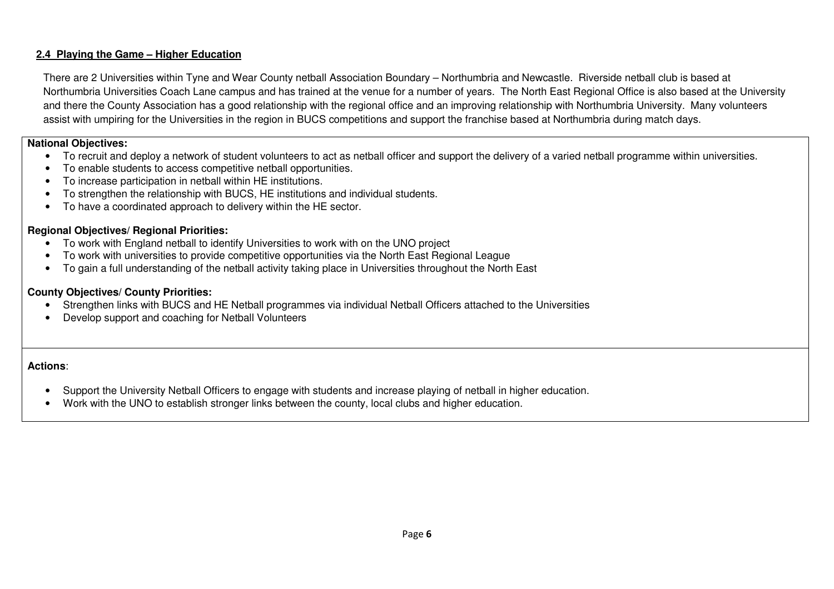# **2.4 Playing the Game – Higher Education**

There are 2 Universities within Tyne and Wear County netball Association Boundary – Northumbria and Newcastle. Riverside netball club is based at Northumbria Universities Coach Lane campus and has trained at the venue for a number of years. The North East Regional Office is also based at the University and there the County Association has a good relationship with the regional office and an improving relationship with Northumbria University. Many volunteers assist with umpiring for the Universities in the region in BUCS competitions and support the franchise based at Northumbria during match days.

#### **National Objectives:**

- To recruit and deploy a network of student volunteers to act as netball officer and support the delivery of a varied netball programme within universities.
- To enable students to access competitive netball opportunities.
- To increase participation in netball within HE institutions.
- To strengthen the relationship with BUCS, HE institutions and individual students.
- To have a coordinated approach to delivery within the HE sector.

## **Regional Objectives/ Regional Priorities:**

- To work with England netball to identify Universities to work with on the UNO project
- To work with universities to provide competitive opportunities via the North East Regional League
- To gain a full understanding of the netball activity taking place in Universities throughout the North East

## **County Objectives/ County Priorities:**

- Strengthen links with BUCS and HE Netball programmes via individual Netball Officers attached to the Universities
- Develop support and coaching for Netball Volunteers

- Support the University Netball Officers to engage with students and increase playing of netball in higher education.
- Work with the UNO to establish stronger links between the county, local clubs and higher education.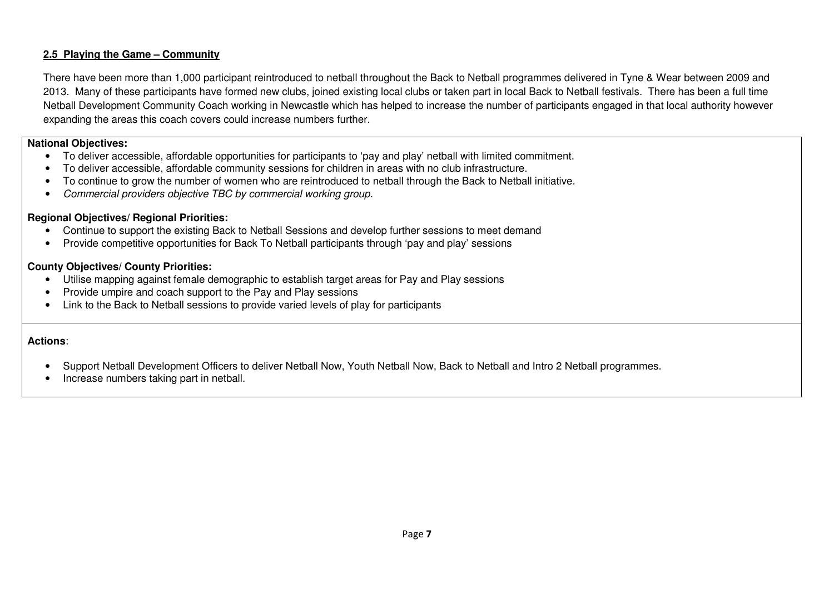## **2.5 Playing the Game – Community**

There have been more than 1,000 participant reintroduced to netball throughout the Back to Netball programmes delivered in Tyne & Wear between 2009 and 2013. Many of these participants have formed new clubs, joined existing local clubs or taken part in local Back to Netball festivals. There has been a full time Netball Development Community Coach working in Newcastle which has helped to increase the number of participants engaged in that local authority however expanding the areas this coach covers could increase numbers further.

#### **National Objectives:**

- To deliver accessible, affordable opportunities for participants to 'pay and play' netball with limited commitment.
- To deliver accessible, affordable community sessions for children in areas with no club infrastructure.
- To continue to grow the number of women who are reintroduced to netball through the Back to Netball initiative.
- •Commercial providers objective TBC by commercial working group.

#### **Regional Objectives/ Regional Priorities:**

- Continue to support the existing Back to Netball Sessions and develop further sessions to meet demand
- Provide competitive opportunities for Back To Netball participants through 'pay and play' sessions

#### **County Objectives/ County Priorities:**

- Utilise mapping against female demographic to establish target areas for Pay and Play sessions
- Provide umpire and coach support to the Pay and Play sessions
- Link to the Back to Netball sessions to provide varied levels of play for participants

- Support Netball Development Officers to deliver Netball Now, Youth Netball Now, Back to Netball and Intro 2 Netball programmes.
- Increase numbers taking part in netball.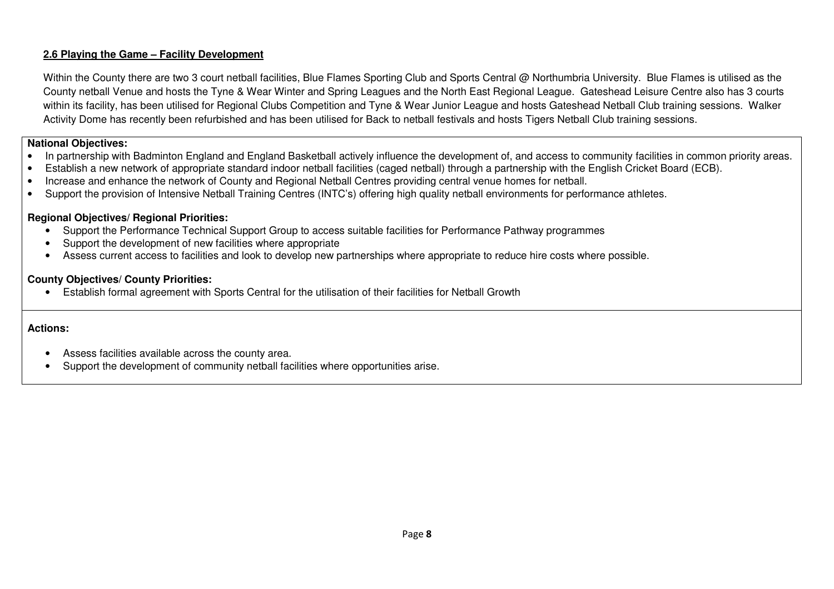# **2.6 Playing the Game – Facility Development**

Within the County there are two 3 court netball facilities, Blue Flames Sporting Club and Sports Central @ Northumbria University. Blue Flames is utilised as the County netball Venue and hosts the Tyne & Wear Winter and Spring Leagues and the North East Regional League. Gateshead Leisure Centre also has 3 courts within its facility, has been utilised for Regional Clubs Competition and Tyne & Wear Junior League and hosts Gateshead Netball Club training sessions. Walker Activity Dome has recently been refurbished and has been utilised for Back to netball festivals and hosts Tigers Netball Club training sessions.

## **National Objectives:**

- In partnership with Badminton England and England Basketball actively influence the development of, and access to community facilities in common priority areas.
- Establish a new network of appropriate standard indoor netball facilities (caged netball) through a partnership with the English Cricket Board (ECB).
- Increase and enhance the network of County and Regional Netball Centres providing central venue homes for netball.
- Support the provision of Intensive Netball Training Centres (INTC's) offering high quality netball environments for performance athletes.

## **Regional Objectives/ Regional Priorities:**

- Support the Performance Technical Support Group to access suitable facilities for Performance Pathway programmes
- Support the development of new facilities where appropriate
- Assess current access to facilities and look to develop new partnerships where appropriate to reduce hire costs where possible.

## **County Objectives/ County Priorities:**

• Establish formal agreement with Sports Central for the utilisation of their facilities for Netball Growth

- Assess facilities available across the county area.
- Support the development of community netball facilities where opportunities arise.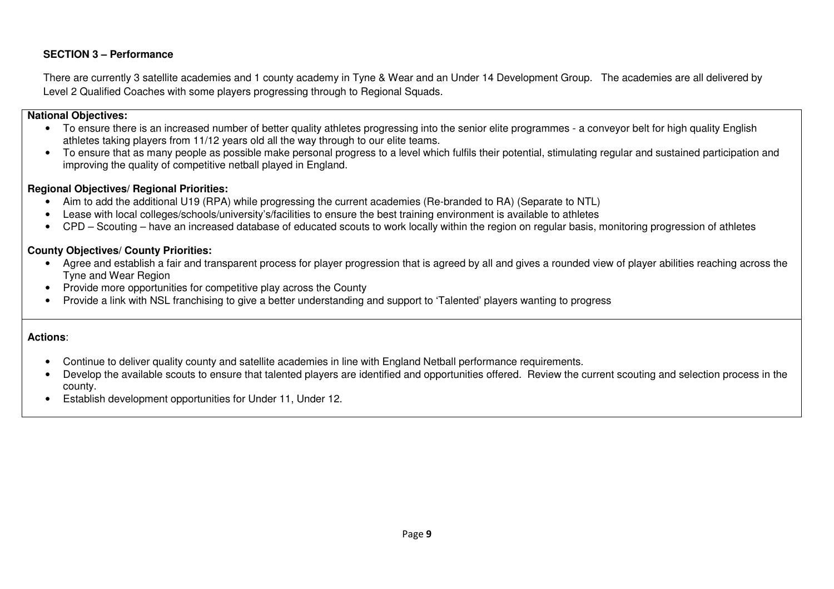## **SECTION 3 – Performance**

There are currently 3 satellite academies and 1 county academy in Tyne & Wear and an Under 14 Development Group. The academies are all delivered by Level 2 Qualified Coaches with some players progressing through to Regional Squads.

## **National Objectives:**

- To ensure there is an increased number of better quality athletes progressing into the senior elite programmes a conveyor belt for high quality English athletes taking players from 11/12 years old all the way through to our elite teams.
- To ensure that as many people as possible make personal progress to a level which fulfils their potential, stimulating regular and sustained participation and improving the quality of competitive netball played in England.

#### **Regional Objectives/ Regional Priorities:**

- Aim to add the additional U19 (RPA) while progressing the current academies (Re-branded to RA) (Separate to NTL)
- Lease with local colleges/schools/university's/facilities to ensure the best training environment is available to athletes
- CPD Scouting have an increased database of educated scouts to work locally within the region on regular basis, monitoring progression of athletes

#### **County Objectives/ County Priorities:**

- Agree and establish a fair and transparent process for player progression that is agreed by all and gives a rounded view of player abilities reaching across the Tyne and Wear Region
- Provide more opportunities for competitive play across the County
- Provide a link with NSL franchising to give a better understanding and support to 'Talented' players wanting to progress

- Continue to deliver quality county and satellite academies in line with England Netball performance requirements.
- Develop the available scouts to ensure that talented players are identified and opportunities offered. Review the current scouting and selection process in the county.
- Establish development opportunities for Under 11, Under 12.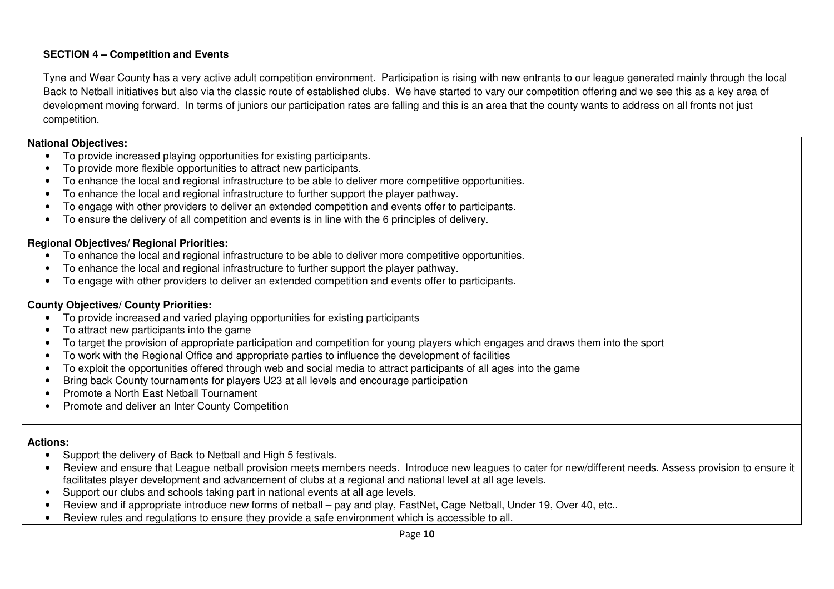# **SECTION 4 – Competition and Events**

Tyne and Wear County has a very active adult competition environment. Participation is rising with new entrants to our league generated mainly through the local Back to Netball initiatives but also via the classic route of established clubs. We have started to vary our competition offering and we see this as a key area of development moving forward. In terms of juniors our participation rates are falling and this is an area that the county wants to address on all fronts not just competition.

#### **National Objectives:**

- To provide increased playing opportunities for existing participants.
- To provide more flexible opportunities to attract new participants.
- To enhance the local and regional infrastructure to be able to deliver more competitive opportunities.
- To enhance the local and regional infrastructure to further support the player pathway.
- To engage with other providers to deliver an extended competition and events offer to participants.
- To ensure the delivery of all competition and events is in line with the 6 principles of delivery.

# **Regional Objectives/ Regional Priorities:**

- To enhance the local and regional infrastructure to be able to deliver more competitive opportunities.
- To enhance the local and regional infrastructure to further support the player pathway.
- To engage with other providers to deliver an extended competition and events offer to participants.

## **County Objectives/ County Priorities:**

- To provide increased and varied playing opportunities for existing participants
- To attract new participants into the game
- To target the provision of appropriate participation and competition for young players which engages and draws them into the sport
- To work with the Regional Office and appropriate parties to influence the development of facilities
- To exploit the opportunities offered through web and social media to attract participants of all ages into the game
- Bring back County tournaments for players U23 at all levels and encourage participation
- Promote a North East Netball Tournament
- Promote and deliver an Inter County Competition

- Support the delivery of Back to Netball and High 5 festivals.
- Review and ensure that League netball provision meets members needs. Introduce new leagues to cater for new/different needs. Assess provision to ensure it facilitates player development and advancement of clubs at a regional and national level at all age levels.
- Support our clubs and schools taking part in national events at all age levels.
- Review and if appropriate introduce new forms of netball pay and play, FastNet, Cage Netball, Under 19, Over 40, etc..
- Review rules and regulations to ensure they provide a safe environment which is accessible to all.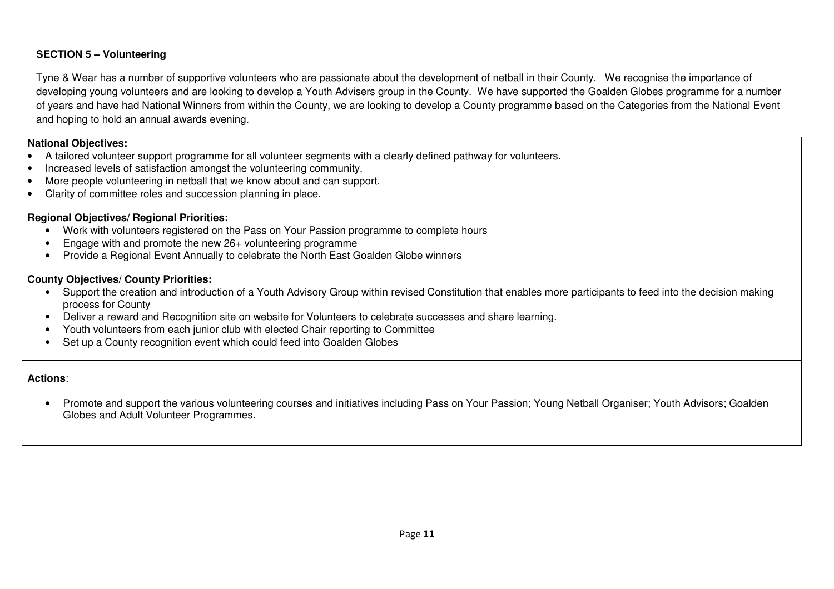# **SECTION 5 – Volunteering**

Tyne & Wear has a number of supportive volunteers who are passionate about the development of netball in their County. We recognise the importance of developing young volunteers and are looking to develop a Youth Advisers group in the County. We have supported the Goalden Globes programme for a number of years and have had National Winners from within the County, we are looking to develop a County programme based on the Categories from the National Event and hoping to hold an annual awards evening.

#### **National Objectives:**

- A tailored volunteer support programme for all volunteer segments with a clearly defined pathway for volunteers.
- Increased levels of satisfaction amongst the volunteering community.
- More people volunteering in netball that we know about and can support.
- Clarity of committee roles and succession planning in place.

# **Regional Objectives/ Regional Priorities:**

- Work with volunteers registered on the Pass on Your Passion programme to complete hours
- Engage with and promote the new 26+ volunteering programme
- Provide a Regional Event Annually to celebrate the North East Goalden Globe winners

## **County Objectives/ County Priorities:**

- Support the creation and introduction of a Youth Advisory Group within revised Constitution that enables more participants to feed into the decision making process for County
- Deliver a reward and Recognition site on website for Volunteers to celebrate successes and share learning.
- Youth volunteers from each junior club with elected Chair reporting to Committee
- Set up a County recognition event which could feed into Goalden Globes

## **Actions**:

• Promote and support the various volunteering courses and initiatives including Pass on Your Passion; Young Netball Organiser; Youth Advisors; Goalden Globes and Adult Volunteer Programmes.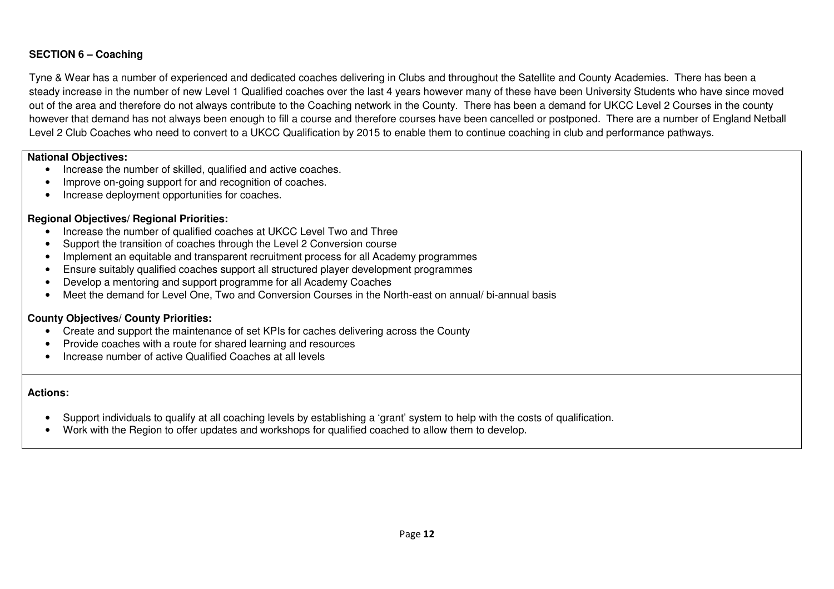# **SECTION 6 – Coaching**

Tyne & Wear has a number of experienced and dedicated coaches delivering in Clubs and throughout the Satellite and County Academies. There has been a steady increase in the number of new Level 1 Qualified coaches over the last 4 years however many of these have been University Students who have since moved out of the area and therefore do not always contribute to the Coaching network in the County. There has been a demand for UKCC Level 2 Courses in the county however that demand has not always been enough to fill a course and therefore courses have been cancelled or postponed. There are a number of England Netball Level 2 Club Coaches who need to convert to a UKCC Qualification by 2015 to enable them to continue coaching in club and performance pathways.

#### **National Objectives:**

- Increase the number of skilled, qualified and active coaches.
- Improve on-going support for and recognition of coaches.
- Increase deployment opportunities for coaches.

#### **Regional Objectives/ Regional Priorities:**

- Increase the number of qualified coaches at UKCC Level Two and Three
- Support the transition of coaches through the Level 2 Conversion course
- Implement an equitable and transparent recruitment process for all Academy programmes
- Ensure suitably qualified coaches support all structured player development programmes
- Develop a mentoring and support programme for all Academy Coaches
- Meet the demand for Level One, Two and Conversion Courses in the North-east on annual/ bi-annual basis

## **County Objectives/ County Priorities:**

- Create and support the maintenance of set KPIs for caches delivering across the County
- Provide coaches with a route for shared learning and resources
- Increase number of active Qualified Coaches at all levels

- Support individuals to qualify at all coaching levels by establishing a 'grant' system to help with the costs of qualification.
- Work with the Region to offer updates and workshops for qualified coached to allow them to develop.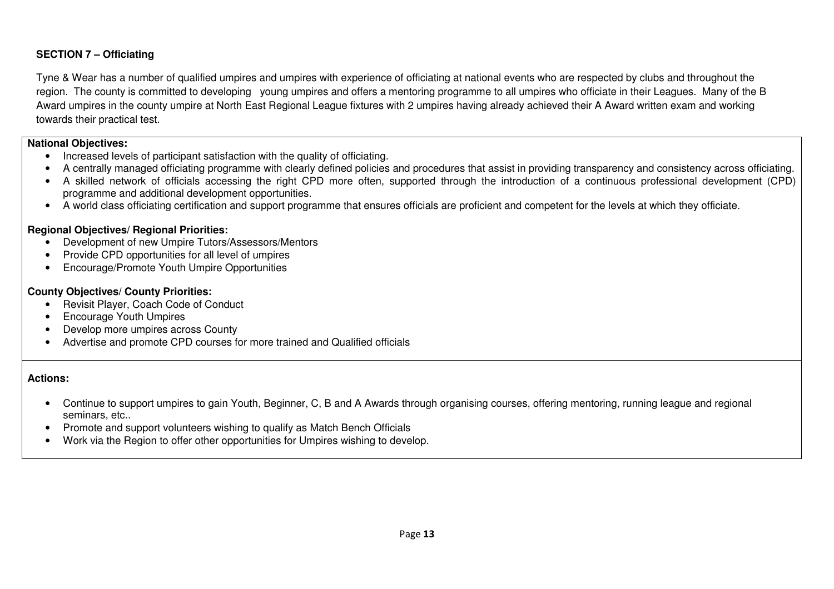# **SECTION 7 – Officiating**

Tyne & Wear has a number of qualified umpires and umpires with experience of officiating at national events who are respected by clubs and throughout the region. The county is committed to developing young umpires and offers a mentoring programme to all umpires who officiate in their Leagues. Many of the B Award umpires in the county umpire at North East Regional League fixtures with 2 umpires having already achieved their A Award written exam and working towards their practical test.

## **National Objectives:**

- Increased levels of participant satisfaction with the quality of officiating.
- A centrally managed officiating programme with clearly defined policies and procedures that assist in providing transparency and consistency across officiating.
- A skilled network of officials accessing the right CPD more often, supported through the introduction of a continuous professional development (CPD) programme and additional development opportunities.
- A world class officiating certification and support programme that ensures officials are proficient and competent for the levels at which they officiate.

#### **Regional Objectives/ Regional Priorities:**

- Development of new Umpire Tutors/Assessors/Mentors
- Provide CPD opportunities for all level of umpires
- Encourage/Promote Youth Umpire Opportunities

## **County Objectives/ County Priorities:**

- Revisit Player, Coach Code of Conduct
- Encourage Youth Umpires
- Develop more umpires across County
- Advertise and promote CPD courses for more trained and Qualified officials

- Continue to support umpires to gain Youth, Beginner, C, B and A Awards through organising courses, offering mentoring, running league and regional seminars, etc..
- Promote and support volunteers wishing to qualify as Match Bench Officials
- Work via the Region to offer other opportunities for Umpires wishing to develop.